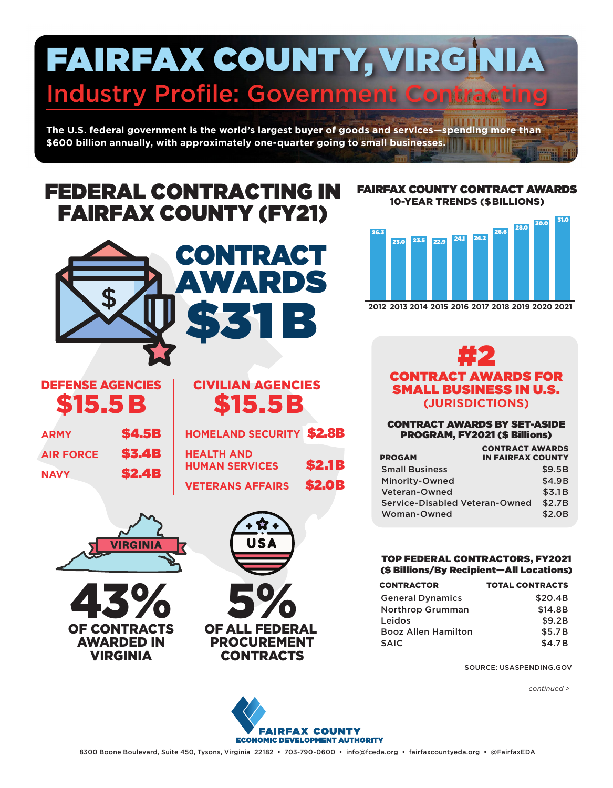# FAIRFAX COUNTY, VIRGINIA **Industry Profile: Government Contraction**

**The U.S. federal government is the world's largest buyer of goods and services—spending more than \$600 billion annually, with approximately one-quarter going to small businesses.**

# FEDERAL CONTRACTING IN FAIRFAX COUNTY (FY21)



# DEFENSE AGENCIES \$15.5B

| <b>ARMY</b>      | <b>\$4.5B</b> |
|------------------|---------------|
| <b>AIR FORCE</b> | <b>\$3.4B</b> |
| <b>NAVY</b>      | <b>\$2.4B</b> |

# CIVILIAN AGENCIES \$15.5B

**HOMELAND SECURITY** \$2.8B **HEALTH AND HUMAN SERVICES** \$2.1 B

**VETERANS AFFAIRS** \$2.0B







#### FAIRFAX COUNTY CONTRACT AWARDS 10-YEAR TRENDS (\$BILLIONS)



**2012 2013 2014 2015 2016 2017 2018 2019 2020 2021**

# #2 CONTRACT AWARDS FOR **MALL BUSINESS IN U.S. (JURISDICTIONS)**

#### CONTRACT AWARDS BY SET-ASIDE PROGRAM, FY2021 (\$ Billions)

|                                       | <b>CONTRACT AWARDS</b>   |        |
|---------------------------------------|--------------------------|--------|
| <b>PROGAM</b>                         | <b>IN FAIRFAX COUNTY</b> |        |
| <b>Small Business</b>                 |                          | \$9.5B |
| Minority-Owned                        |                          | \$4.9B |
| <b>Veteran-Owned</b>                  |                          | \$3.1B |
| <b>Service-Disabled Veteran-Owned</b> |                          | \$2.7B |
| <b>Woman-Owned</b>                    |                          | \$2.0B |

#### TOP FEDERAL CONTRACTORS, FY2021 (\$ Billions/By Recipient—All Locations)

| <b>CONTRACTOR</b>          | <b>TOTAL CONTRACTS</b> |
|----------------------------|------------------------|
| <b>General Dynamics</b>    | \$20.4B                |
| <b>Northrop Grumman</b>    | \$14.8B                |
| Leidos                     | \$9.2B                 |
| <b>Booz Allen Hamilton</b> | \$5.7B                 |
| <b>SAIC</b>                | \$4.7B                 |

SOURCE: USASPENDING.GOV

*continued >*